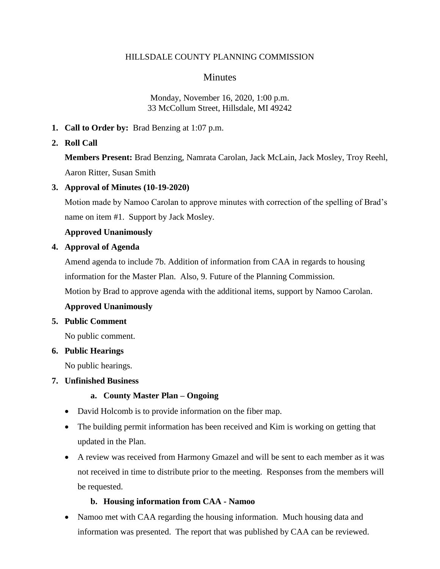#### HILLSDALE COUNTY PLANNING COMMISSION

# **Minutes**

#### Monday, November 16, 2020, 1:00 p.m. 33 McCollum Street, Hillsdale, MI 49242

- **1. Call to Order by:** Brad Benzing at 1:07 p.m.
- **2. Roll Call**

**Members Present:** Brad Benzing, Namrata Carolan, Jack McLain, Jack Mosley, Troy Reehl, Aaron Ritter, Susan Smith

## **3. Approval of Minutes (10-19-2020)**

Motion made by Namoo Carolan to approve minutes with correction of the spelling of Brad's name on item #1. Support by Jack Mosley.

## **Approved Unanimously**

## **4. Approval of Agenda**

Amend agenda to include 7b. Addition of information from CAA in regards to housing

information for the Master Plan. Also, 9. Future of the Planning Commission.

Motion by Brad to approve agenda with the additional items, support by Namoo Carolan.

# **Approved Unanimously**

## **5. Public Comment**

No public comment.

## **6. Public Hearings**

No public hearings.

## **7. Unfinished Business**

## **a. County Master Plan – Ongoing**

- David Holcomb is to provide information on the fiber map.
- The building permit information has been received and Kim is working on getting that updated in the Plan.
- A review was received from Harmony Gmazel and will be sent to each member as it was not received in time to distribute prior to the meeting. Responses from the members will be requested.

# **b. Housing information from CAA - Namoo**

• Namoo met with CAA regarding the housing information. Much housing data and information was presented. The report that was published by CAA can be reviewed.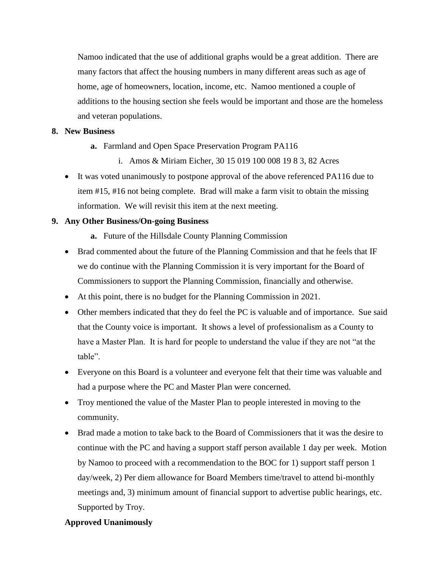Namoo indicated that the use of additional graphs would be a great addition. There are many factors that affect the housing numbers in many different areas such as age of home, age of homeowners, location, income, etc. Namoo mentioned a couple of additions to the housing section she feels would be important and those are the homeless and veteran populations.

#### **8. New Business**

- **a.** Farmland and Open Space Preservation Program PA116
	- i. Amos & Miriam Eicher, 30 15 019 100 008 19 8 3, 82 Acres
- It was voted unanimously to postpone approval of the above referenced PA116 due to item #15, #16 not being complete. Brad will make a farm visit to obtain the missing information. We will revisit this item at the next meeting.

#### **9. Any Other Business/On-going Business**

- **a.** Future of the Hillsdale County Planning Commission
- Brad commented about the future of the Planning Commission and that he feels that IF we do continue with the Planning Commission it is very important for the Board of Commissioners to support the Planning Commission, financially and otherwise.
- At this point, there is no budget for the Planning Commission in 2021.
- Other members indicated that they do feel the PC is valuable and of importance. Sue said that the County voice is important. It shows a level of professionalism as a County to have a Master Plan. It is hard for people to understand the value if they are not "at the table".
- Everyone on this Board is a volunteer and everyone felt that their time was valuable and had a purpose where the PC and Master Plan were concerned.
- Troy mentioned the value of the Master Plan to people interested in moving to the community.
- Brad made a motion to take back to the Board of Commissioners that it was the desire to continue with the PC and having a support staff person available 1 day per week. Motion by Namoo to proceed with a recommendation to the BOC for 1) support staff person 1 day/week, 2) Per diem allowance for Board Members time/travel to attend bi-monthly meetings and, 3) minimum amount of financial support to advertise public hearings, etc. Supported by Troy.

#### **Approved Unanimously**